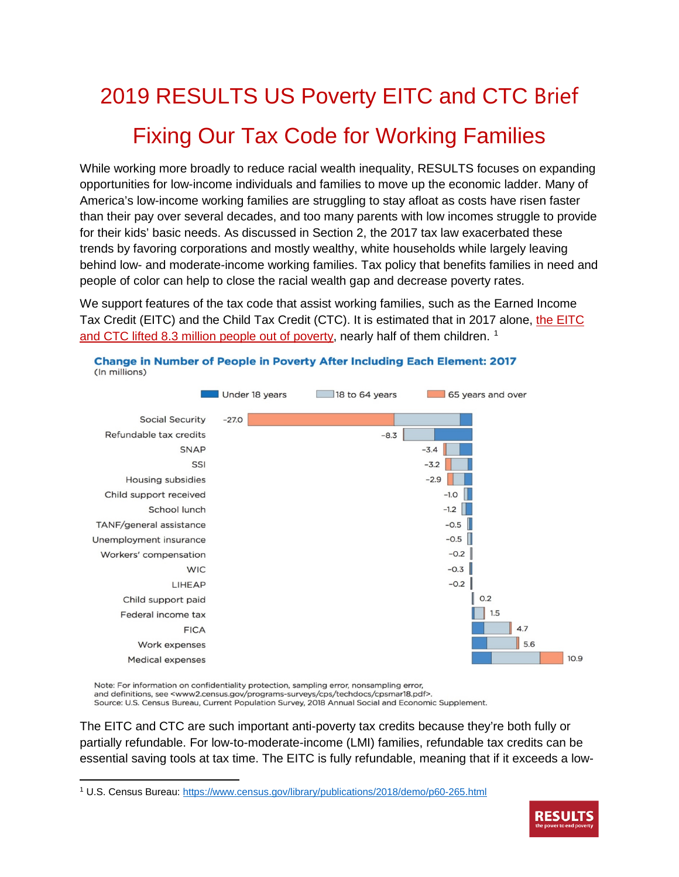# 2019 RESULTS US Poverty EITC and CTC Brief Fixing Our Tax Code for Working Families

While working more broadly to reduce racial wealth inequality, RESULTS focuses on expanding opportunities for low-income individuals and families to move up the economic ladder. Many of America's low-income working families are struggling to stay afloat as costs have risen faster than their pay over several decades, and too many parents with low incomes struggle to provide for their kids' basic needs. As discussed in Section 2, the 2017 tax law exacerbated these trends by favoring corporations and mostly wealthy, white households while largely leaving behind low- and moderate-income working families. Tax policy that benefits families in need and people of color can help to close the racial wealth gap and decrease poverty rates.

We support features of the tax code that assist working families, such as the Earned Income Tax Credit (EITC) and the Child Tax Credit (CTC). It is estimated that in 2017 alone, [the EITC](https://www.census.gov/content/census/en/library/publications/2018/demo/p60-265.html)  and CTC lifted 8.3 [million people out of poverty,](https://www.census.gov/content/census/en/library/publications/2018/demo/p60-265.html) nearly half of them children.<sup>[1](#page-0-0)</sup>



Note: For information on confidentiality protection, sampling error, nonsampling error, and definitions, see <www2.census.gov/programs-surveys/cps/techdocs/cpsmar18.pdf>. Source: U.S. Census Bureau, Current Population Survey, 2018 Annual Social and Economic Supplement.

The EITC and CTC are such important anti-poverty tax credits because they're both fully or partially refundable. For low-to-moderate-income (LMI) families, refundable tax credits can be essential saving tools at tax time. The EITC is fully refundable, meaning that if it exceeds a low-

<span id="page-0-0"></span>l <sup>1</sup> U.S. Census Bureau:<https://www.census.gov/library/publications/2018/demo/p60-265.html>

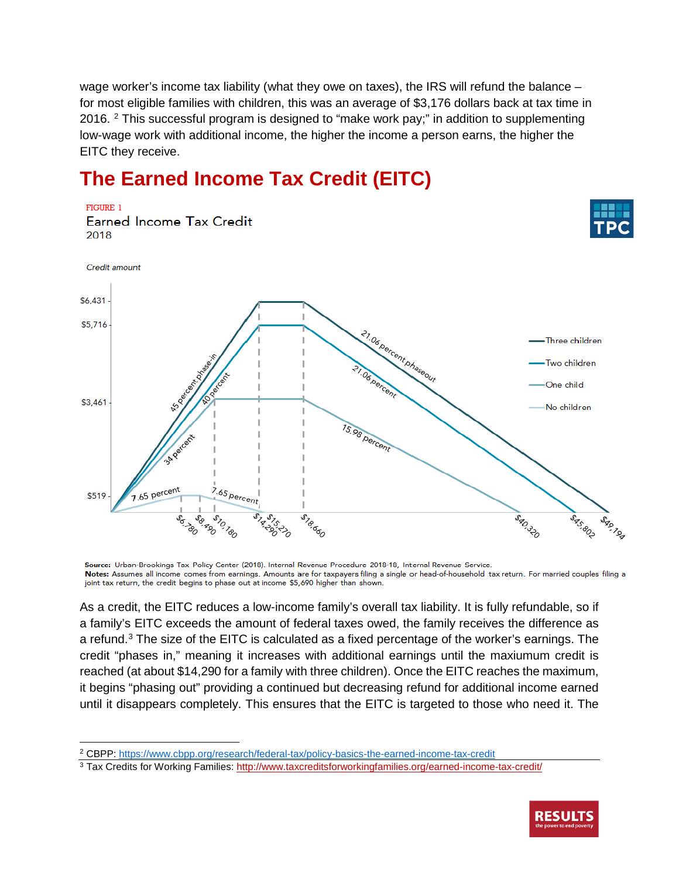wage worker's income tax liability (what they owe on taxes), the IRS will refund the balance – for most eligible families with children, this was an average of \$3,176 dollars back at tax time in [2](#page-1-0)016. <sup>2</sup> This successful program is designed to "make work pay;" in addition to supplementing low-wage work with additional income, the higher the income a person earns, the higher the EITC they receive.

### **The Earned Income Tax Credit (EITC)**



Source: Urban-Brookings Tax Policy Center (2018). Internal Revenue Procedure 2018-18, Internal Revenue Service. Notes: Assumes all income comes from earnings. Amounts are for taxpayers filing a single or head-of-household tax return. For married couples filing a joint tax return, the credit begins to phase out at income \$5,690 higher than shown.

As a credit, the EITC reduces a low-income family's overall tax liability. It is fully refundable, so if a family's EITC exceeds the amount of federal taxes owed, the family receives the difference as a refund.<sup>[3](#page-1-1)</sup> The size of the EITC is calculated as a fixed percentage of the worker's earnings. The credit "phases in," meaning it increases with additional earnings until the maxiumum credit is reached (at about \$14,290 for a family with three children). Once the EITC reaches the maximum, it begins "phasing out" providing a continued but decreasing refund for additional income earned until it disappears completely. This ensures that the EITC is targeted to those who need it. The

l

<span id="page-1-1"></span><sup>&</sup>lt;sup>3</sup> Tax Credits for Working Families[: http://www.taxcreditsforworkingfamilies.org/earned-income-tax-credit/](http://www.taxcreditsforworkingfamilies.org/earned-income-tax-credit/)



<span id="page-1-0"></span><sup>2</sup> CBPP: https://www.cbpp.org/research/federal-tax/policy-basics-the-earned-income-tax-credit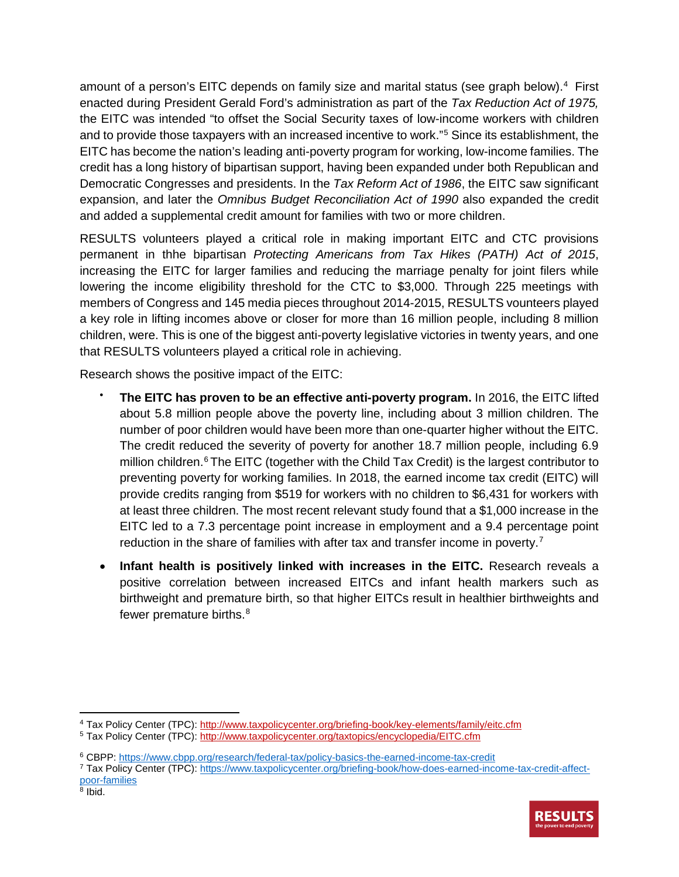amount of a person's EITC depends on family size and marital status (see graph below).[4](#page-2-0) First enacted during President Gerald Ford's administration as part of the *Tax Reduction Act of 1975,* the EITC was intended "to offset the Social Security taxes of low-income workers with children and to provide those taxpayers with an increased incentive to work."[5](#page-2-1) Since its establishment, the EITC has become the nation's leading anti-poverty program for working, low-income families. The credit has a long history of bipartisan support, having been expanded under both Republican and Democratic Congresses and presidents. In the *Tax Reform Act of 1986*, the EITC saw significant expansion, and later the *Omnibus Budget Reconciliation Act of 1990* also expanded the credit and added a supplemental credit amount for families with two or more children.

RESULTS volunteers played a critical role in making important EITC and CTC provisions permanent in thhe bipartisan *Protecting Americans from Tax Hikes (PATH) Act of 2015*, increasing the EITC for larger families and reducing the marriage penalty for joint filers while lowering the income eligibility threshold for the CTC to \$3,000. Through 225 meetings with members of Congress and 145 media pieces throughout 2014-2015, RESULTS vounteers played a key role in lifting incomes above or closer for more than 16 million people, including 8 million children, were. This is one of the biggest anti-poverty legislative victories in twenty years, and one that RESULTS volunteers played a critical role in achieving.

Research shows the positive impact of the EITC:

- **The EITC has proven to be an effective anti-poverty program.** In 2016, the EITC lifted about 5.8 million people above the poverty line, including about 3 million children. The number of poor children would have been more than one-quarter higher without the EITC. The credit reduced the severity of poverty for another 18.7 million people, including 6.9 million children.<sup>[6](#page-2-2)</sup> The EITC (together with the Child Tax Credit) is the largest contributor to preventing poverty for working families. In 2018, the earned income tax credit (EITC) will provide credits ranging from \$519 for workers with no children to \$6,431 for workers with at least three children. The most recent relevant study found that a \$1,000 increase in the EITC led to a 7.3 percentage point increase in employment and a 9.4 percentage point reduction in the share of families with after tax and transfer income in poverty.<sup>[7](#page-2-3)</sup>
- **Infant health is positively linked with increases in the EITC.** Research reveals a positive correlation between increased EITCs and infant health markers such as birthweight and premature birth, so that higher EITCs result in healthier birthweights and fewer premature births.<sup>[8](#page-2-4)</sup>

 $\overline{\phantom{a}}$ 

<span id="page-2-0"></span><sup>4</sup> Tax Policy Center (TPC):<http://www.taxpolicycenter.org/briefing-book/key-elements/family/eitc.cfm>

<span id="page-2-1"></span><sup>5</sup> Tax Policy Center (TPC):<http://www.taxpolicycenter.org/taxtopics/encyclopedia/EITC.cfm>

<span id="page-2-2"></span><sup>6</sup> CBPP: <https://www.cbpp.org/research/federal-tax/policy-basics-the-earned-income-tax-credit>

<span id="page-2-4"></span><span id="page-2-3"></span><sup>7</sup> Tax Policy Center (TPC): [https://www.taxpolicycenter.org/briefing-book/how-does-earned-income-tax-credit-affect](https://www.taxpolicycenter.org/briefing-book/how-does-earned-income-tax-credit-affect-poor-families)[poor-families](https://www.taxpolicycenter.org/briefing-book/how-does-earned-income-tax-credit-affect-poor-families)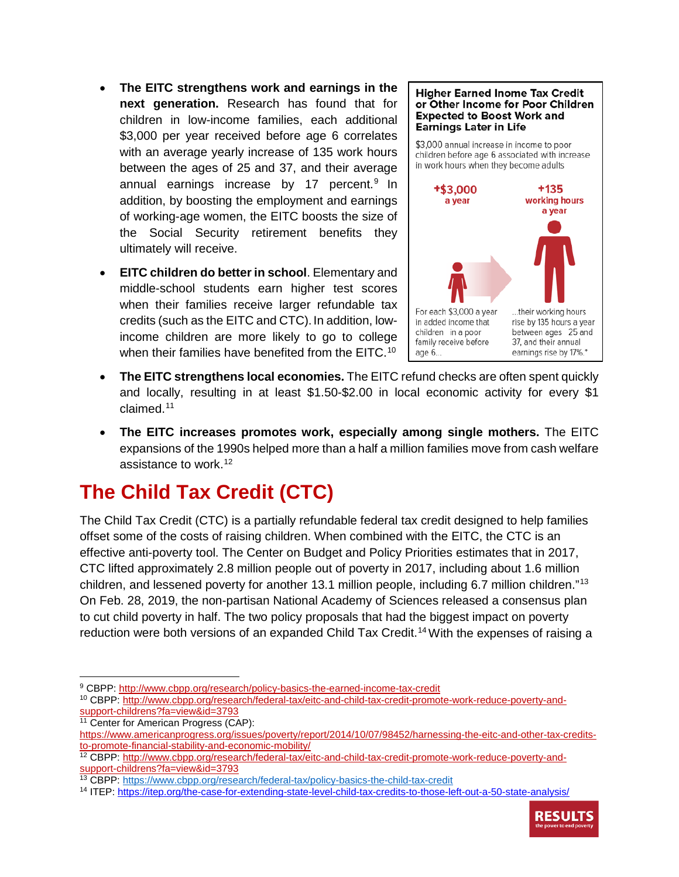- **The EITC strengthens work and earnings in the next generation.** Research has found that for children in low-income families, each additional \$3,000 per year received before age 6 correlates with an average yearly increase of 135 work hours between the ages of 25 and 37, and their average annual earnings increase by 17 percent. $9$  In addition, by boosting the employment and earnings of working-age women, the EITC boosts the size of the Social Security retirement benefits they ultimately will receive.
- **EITC children do better in school**. Elementary and middle-school students earn higher test scores when their families receive larger refundable tax credits (such as the EITC and CTC).In addition, lowincome children are more likely to go to college when their families have benefited from the EITC.<sup>10</sup>

#### **Higher Earned Inome Tax Credit** or Other Income for Poor Children **Expected to Boost Work and Earnings Later in Life**

\$3,000 annual increase in income to poor children before age 6 associated with increase in work hours when they become adults



- **The EITC strengthens local economies.** The EITC refund checks are often spent quickly and locally, resulting in at least \$1.50-\$2.00 in local economic activity for every \$1 claimed.[11](#page-3-2)
- **The EITC increases promotes work, especially among single mothers.** The EITC expansions of the 1990s helped more than a half a million families move from cash welfare assistance to work.<sup>[12](#page-3-3)</sup>

## **The Child Tax Credit (CTC)**

The Child Tax Credit (CTC) is a partially refundable federal tax credit designed to help families offset some of the costs of raising children. When combined with the EITC, the CTC is an effective anti-poverty tool. The Center on Budget and Policy Priorities estimates that in 2017, CTC lifted approximately 2.8 million people out of poverty in 2017, including about 1.6 million children, and lessened poverty for another 13.1 million people, including 6.7 million children."[13](#page-3-4) On Feb. 28, 2019, the non-partisan National Academy of Sciences released a consensus plan to cut child poverty in half. The two policy proposals that had the biggest impact on poverty reduction were both versions of an expanded Child Tax Credit.<sup>[14](#page-3-5)</sup> With the expenses of raising a

- <span id="page-3-0"></span> $\overline{a}$ <sup>9</sup> CBPP:<http://www.cbpp.org/research/policy-basics-the-earned-income-tax-credit>
- <span id="page-3-1"></span><sup>10</sup> CBPP[: http://www.cbpp.org/research/federal-tax/eitc-and-child-tax-credit-promote-work-reduce-poverty-and](http://www.cbpp.org/research/federal-tax/eitc-and-child-tax-credit-promote-work-reduce-poverty-and-support-childrens?fa=view&id=3793)[support-childrens?fa=view&id=3793](http://www.cbpp.org/research/federal-tax/eitc-and-child-tax-credit-promote-work-reduce-poverty-and-support-childrens?fa=view&id=3793)
- <span id="page-3-2"></span><sup>11</sup> Center for American Progress (CAP): [https://www.americanprogress.org/issues/poverty/report/2014/10/07/98452/harnessing-the-eitc-and-other-tax-credits](https://www.americanprogress.org/issues/poverty/report/2014/10/07/98452/harnessing-the-eitc-and-other-tax-credits-to-promote-financial-stability-and-economic-mobility/)[to-promote-financial-stability-and-economic-mobility/](https://www.americanprogress.org/issues/poverty/report/2014/10/07/98452/harnessing-the-eitc-and-other-tax-credits-to-promote-financial-stability-and-economic-mobility/)

<span id="page-3-5"></span><sup>14</sup> ITEP:<https://itep.org/the-case-for-extending-state-level-child-tax-credits-to-those-left-out-a-50-state-analysis/>



<span id="page-3-3"></span><sup>12</sup> CBPP[: http://www.cbpp.org/research/federal-tax/eitc-and-child-tax-credit-promote-work-reduce-poverty-and](http://www.cbpp.org/research/federal-tax/eitc-and-child-tax-credit-promote-work-reduce-poverty-and-support-childrens?fa=view&id=3793)[support-childrens?fa=view&id=3793](http://www.cbpp.org/research/federal-tax/eitc-and-child-tax-credit-promote-work-reduce-poverty-and-support-childrens?fa=view&id=3793)

<span id="page-3-4"></span><sup>13</sup> CBPP[: https://www.cbpp.org/research/federal-tax/policy-basics-the-child-tax-credit](https://www.cbpp.org/research/federal-tax/policy-basics-the-child-tax-credit)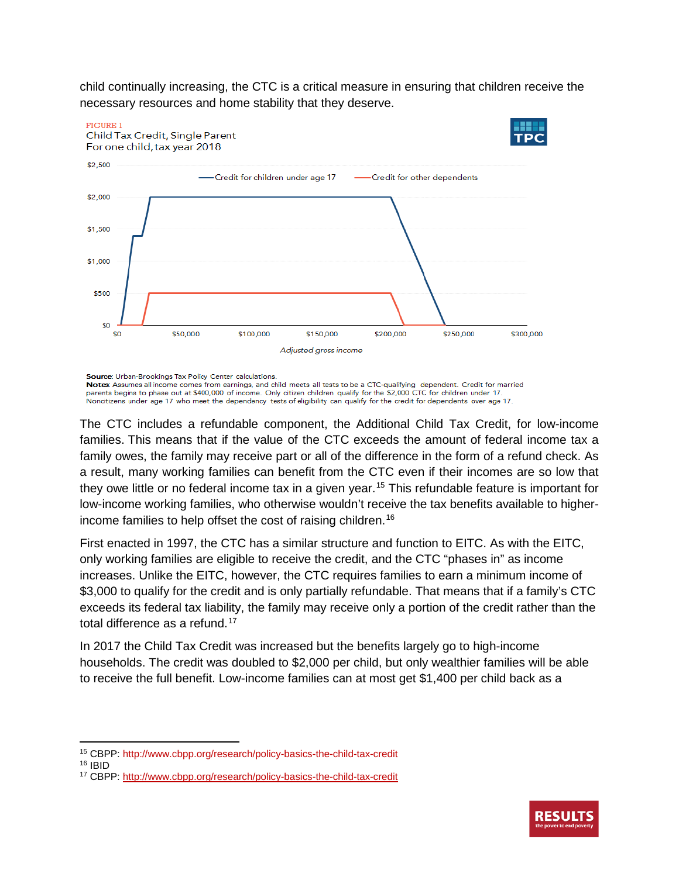child continually increasing, the CTC is a critical measure in ensuring that children receive the necessary resources and home stability that they deserve.



Source: Urban-Brookings Tax Policy Center calculations

**Notes:** Assumes all income comes from earnings, and child meets all tests to be a CTC-qualifying dependent. Credit for married parents begins to phase out at \$400,000 of income. Only citizen children qualify for the \$2,00

The CTC includes a refundable component, the Additional Child Tax Credit, for low-income families. This means that if the value of the CTC exceeds the amount of federal income tax a family owes, the family may receive part or all of the difference in the form of a refund check. As a result, many working families can benefit from the CTC even if their incomes are so low that they owe little or no federal income tax in a given year.<sup>[15](#page-4-0)</sup> This refundable feature is important for low-income working families, who otherwise wouldn't receive the tax benefits available to higherincome families to help offset the cost of raising children.[16](#page-4-1)

First enacted in 1997, the CTC has a similar structure and function to EITC. As with the EITC, only working families are eligible to receive the credit, and the CTC "phases in" as income increases. Unlike the EITC, however, the CTC requires families to earn a minimum income of \$3,000 to qualify for the credit and is only partially refundable. That means that if a family's CTC exceeds its federal tax liability, the family may receive only a portion of the credit rather than the total difference as a refund.[17](#page-4-2)

In 2017 the Child Tax Credit was increased but the benefits largely go to high-income households. The credit was doubled to \$2,000 per child, but only wealthier families will be able to receive the full benefit. Low-income families can at most get \$1,400 per child back as a

l



<sup>15</sup> CBPP: http://www.cbpp.org/research/policy-basics-the-child-tax-credit

<span id="page-4-1"></span><span id="page-4-0"></span><sup>16</sup> IBID

<span id="page-4-2"></span><sup>17</sup> CBPP[: http://www.cbpp.org/research/policy-basics-the-child-tax-credit](http://www.cbpp.org/research/policy-basics-the-child-tax-credit)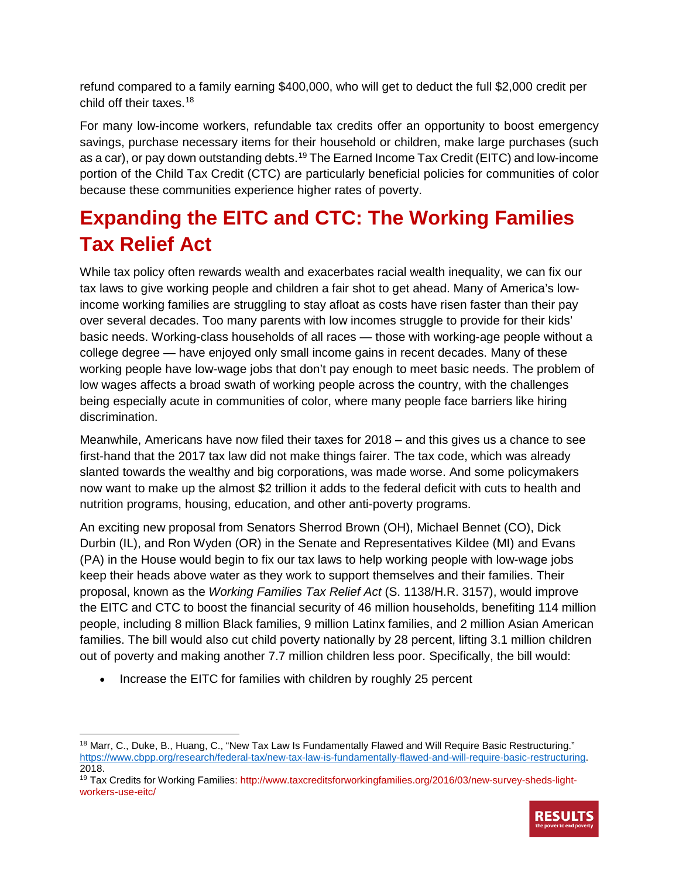refund compared to a family earning \$400,000, who will get to deduct the full \$2,000 credit per child off their taxes.[18](#page-5-0)

For many low-income workers, refundable tax credits offer an opportunity to boost emergency savings, purchase necessary items for their household or children, make large purchases (such as a car), or pay down outstanding debts.<sup>[19](#page-5-1)</sup> The Earned Income Tax Credit (EITC) and low-income portion of the Child Tax Credit (CTC) are particularly beneficial policies for communities of color because these communities experience higher rates of poverty.

### **Expanding the EITC and CTC: The Working Families Tax Relief Act**

While tax policy often rewards wealth and exacerbates racial wealth inequality, we can fix our tax laws to give working people and children a fair shot to get ahead. Many of America's lowincome working families are struggling to stay afloat as costs have risen faster than their pay over several decades. Too many parents with low incomes struggle to provide for their kids' basic needs. Working-class households of all races — those with working-age people without a college degree — have enjoyed only small income gains in recent decades. Many of these working people have low-wage jobs that don't pay enough to meet basic needs. The problem of low wages affects a broad swath of working people across the country, with the challenges being especially acute in communities of color, where many people face barriers like hiring discrimination.

Meanwhile, Americans have now filed their taxes for 2018 – and this gives us a chance to see first-hand that the 2017 tax law did not make things fairer. The tax code, which was already slanted towards the wealthy and big corporations, was made worse. And some policymakers now want to make up the almost \$2 trillion it adds to the federal deficit with cuts to health and nutrition programs, housing, education, and other anti-poverty programs.

An exciting new proposal from Senators Sherrod Brown (OH), Michael Bennet (CO), Dick Durbin (IL), and Ron Wyden (OR) in the Senate and Representatives Kildee (MI) and Evans (PA) in the House would begin to fix our tax laws to help working people with low-wage jobs keep their heads above water as they work to support themselves and their families. Their proposal, known as the *Working Families Tax Relief Act* (S. 1138/H.R. 3157), would improve the EITC and CTC to boost the financial security of 46 million households, benefiting 114 million people, including 8 million Black families, 9 million Latinx families, and 2 million Asian American families. The bill would also cut child poverty nationally by 28 percent, lifting 3.1 million children out of poverty and making another 7.7 million children less poor. Specifically, the bill would:

• Increase the EITC for families with children by roughly 25 percent

 $\overline{a}$ 

<span id="page-5-1"></span><sup>19</sup> Tax Credits for Working Families: http://www.taxcreditsforworkingfamilies.org/2016/03/new-survey-sheds-lightworkers-use-eitc/



<span id="page-5-0"></span><sup>&</sup>lt;sup>18</sup> Marr, C., Duke, B., Huang, C., "New Tax Law Is Fundamentally Flawed and Will Require Basic Restructuring." [https://www.cbpp.org/research/federal-tax/new-tax-law-is-fundamentally-flawed-and-will-require-basic-restructuring.](https://www.cbpp.org/research/federal-tax/new-tax-law-is-fundamentally-flawed-and-will-require-basic-restructuring) 2018.